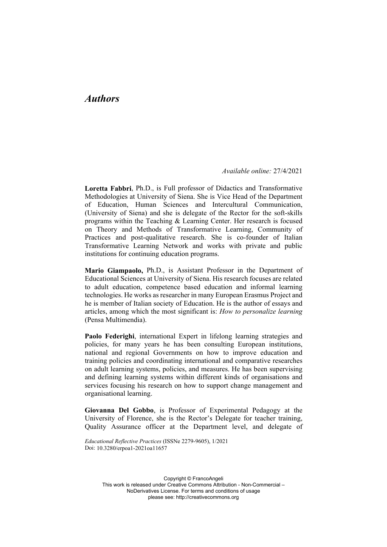## *Authors*

*Available online:* 27/4/2021

**Loretta Fabbri**, Ph.D., is Full professor of Didactics and Transformative Methodologies at University of Siena. She is Vice Head of the Department of Education, Human Sciences and Intercultural Communication, (University of Siena) and she is delegate of the Rector for the soft-skills programs within the Teaching & Learning Center. Her research is focused on Theory and Methods of Transformative Learning, Community of Practices and post-qualitative research. She is co-founder of Italian Transformative Learning Network and works with private and public institutions for continuing education programs.

**Mario Giampaolo,** Ph.D., is Assistant Professor in the Department of Educational Sciences at University of Siena. His research focuses are related to adult education, competence based education and informal learning technologies. He works as researcher in many European Erasmus Project and he is member of Italian society of Education. He is the author of essays and articles, among which the most significant is: *How to personalize learning* (Pensa Multimendia).

**Paolo Federighi**, international Expert in lifelong learning strategies and policies, for many years he has been consulting European institutions, national and regional Governments on how to improve education and training policies and coordinating international and comparative researches on adult learning systems, policies, and measures. He has been supervising and defining learning systems within different kinds of organisations and services focusing his research on how to support change management and organisational learning.

**Giovanna Del Gobbo**, is Professor of Experimental Pedagogy at the University of Florence, she is the Rector's Delegate for teacher training, Quality Assurance officer at the Department level, and delegate of

*Educational Reflective Practices* (ISSNe 2279-9605), 1/2021 Doi: 10.3280/erpoa1-2021oa11657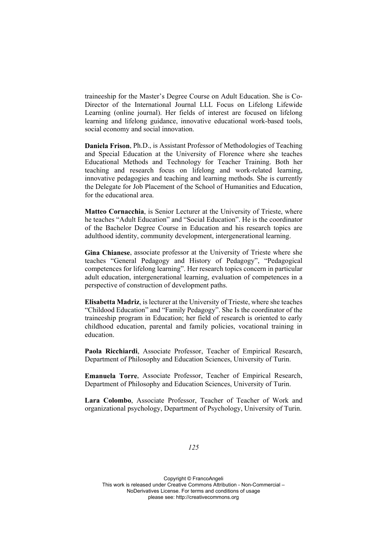traineeship for the Master's Degree Course on Adult Education. She is Co-Director of the International Journal LLL Focus on Lifelong Lifewide Learning (online journal). Her fields of interest are focused on lifelong learning and lifelong guidance, innovative educational work-based tools, social economy and social innovation.

**Daniela Frison**, Ph.D., is Assistant Professor of Methodologies of Teaching and Special Education at the University of Florence where she teaches Educational Methods and Technology for Teacher Training. Both her teaching and research focus on lifelong and work-related learning, innovative pedagogies and teaching and learning methods. She is currently the Delegate for Job Placement of the School of Humanities and Education, for the educational area.

**Matteo Cornacchia**, is Senior Lecturer at the University of Trieste, where he teaches "Adult Education" and "Social Education". He is the coordinator of the Bachelor Degree Course in Education and his research topics are adulthood identity, community development, intergenerational learning.

**Gina Chianese**, associate professor at the University of Trieste where she teaches "General Pedagogy and History of Pedagogy", "Pedagogical competences for lifelong learning". Her research topics concern in particular adult education, intergenerational learning, evaluation of competences in a perspective of construction of development paths.

**Elisabetta Madriz**, is lecturer at the University of Trieste, where she teaches "Childood Education" and "Family Pedagogy". She Is the coordinator of the traineeship program in Education; her field of research is oriented to early childhood education, parental and family policies, vocational training in education.

**Paola Ricchiardi**, Associate Professor, Teacher of Empirical Research, Department of Philosophy and Education Sciences, University of Turin.

**Emanuela Torre**, Associate Professor, Teacher of Empirical Research, Department of Philosophy and Education Sciences, University of Turin.

**Lara Colombo**, Associate Professor, Teacher of Teacher of Work and organizational psychology, Department of Psychology, University of Turin.

*125*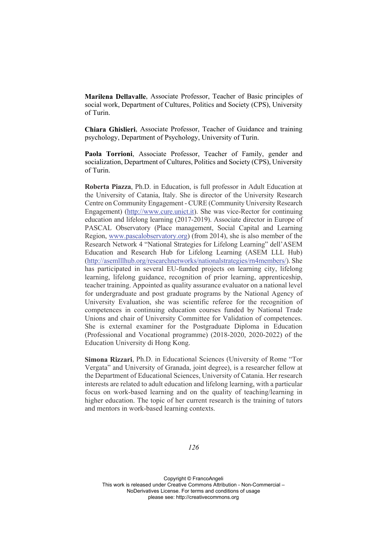**Marilena Dellavalle**, Associate Professor, Teacher of Basic principles of social work, Department of Cultures, Politics and Society (CPS), University of Turin.

**Chiara Ghislieri**, Associate Professor, Teacher of Guidance and training psychology, Department of Psychology, University of Turin.

**Paola Torrioni**, Associate Professor, Teacher of Family, gender and socialization, Department of Cultures, Politics and Society (CPS), University of Turin.

**Roberta Piazza**, Ph.D. in Education, is full professor in Adult Education at the University of Catania, Italy. She is director of the University Research Centre on Community Engagement - CURE (Community University Research Engagement) (http://www.cure.unict.it). She was vice-Rector for continuing education and lifelong learning (2017-2019). Associate director in Europe of PASCAL Observatory (Place management, Social Capital and Learning Region, www.pascalobservatory.org) (from 2014), she is also member of the Research Network 4 "National Strategies for Lifelong Learning" dell'ASEM Education and Research Hub for Lifelong Learning (ASEM LLL Hub) (http://asemlllhub.org/researchnetworks/nationalstrategies/rn4members/). She has participated in several EU-funded projects on learning city, lifelong learning, lifelong guidance, recognition of prior learning, apprenticeship, teacher training. Appointed as quality assurance evaluator on a national level for undergraduate and post graduate programs by the National Agency of University Evaluation, she was scientific referee for the recognition of competences in continuing education courses funded by National Trade Unions and chair of University Committee for Validation of competences. She is external examiner for the Postgraduate Diploma in Education (Professional and Vocational programme) (2018-2020, 2020-2022) of the Education University di Hong Kong.

**Simona Rizzari**, Ph.D. in Educational Sciences (University of Rome "Tor Vergata" and University of Granada, joint degree), is a researcher fellow at the Department of Educational Sciences, University of Catania. Her research interests are related to adult education and lifelong learning, with a particular focus on work-based learning and on the quality of teaching/learning in higher education. The topic of her current research is the training of tutors and mentors in work-based learning contexts.

*126*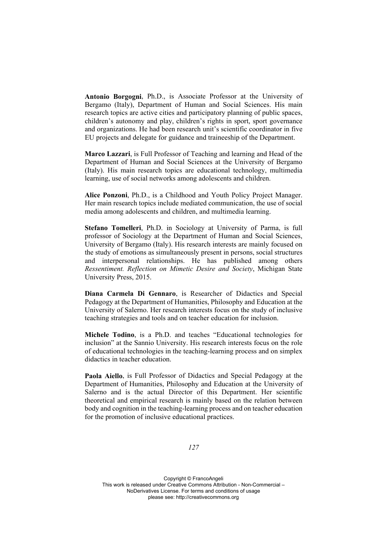**Antonio Borgogni**, Ph.D., is Associate Professor at the University of Bergamo (Italy), Department of Human and Social Sciences. His main research topics are active cities and participatory planning of public spaces, children's autonomy and play, children's rights in sport, sport governance and organizations. He had been research unit's scientific coordinator in five EU projects and delegate for guidance and traineeship of the Department.

**Marco Lazzari**, is Full Professor of Teaching and learning and Head of the Department of Human and Social Sciences at the University of Bergamo (Italy). His main research topics are educational technology, multimedia learning, use of social networks among adolescents and children.

**Alice Ponzoni**, Ph.D., is a Childhood and Youth Policy Project Manager. Her main research topics include mediated communication, the use of social media among adolescents and children, and multimedia learning.

**Stefano Tomelleri**, Ph.D. in Sociology at University of Parma, is full professor of Sociology at the Department of Human and Social Sciences, University of Bergamo (Italy). His research interests are mainly focused on the study of emotions as simultaneously present in persons, social structures and interpersonal relationships. He has published among others *Ressentiment. Reflection on Mimetic Desire and Society*, Michigan State University Press, 2015.

**Diana Carmela Di Gennaro**, is Researcher of Didactics and Special Pedagogy at the Department of Humanities, Philosophy and Education at the University of Salerno. Her research interests focus on the study of inclusive teaching strategies and tools and on teacher education for inclusion.

**Michele Todino**, is a Ph.D. and teaches "Educational technologies for inclusion" at the Sannio University. His research interests focus on the role of educational technologies in the teaching-learning process and on simplex didactics in teacher education.

**Paola Aiello**, is Full Professor of Didactics and Special Pedagogy at the Department of Humanities, Philosophy and Education at the University of Salerno and is the actual Director of this Department. Her scientific theoretical and empirical research is mainly based on the relation between body and cognition in the teaching-learning process and on teacher education for the promotion of inclusive educational practices.